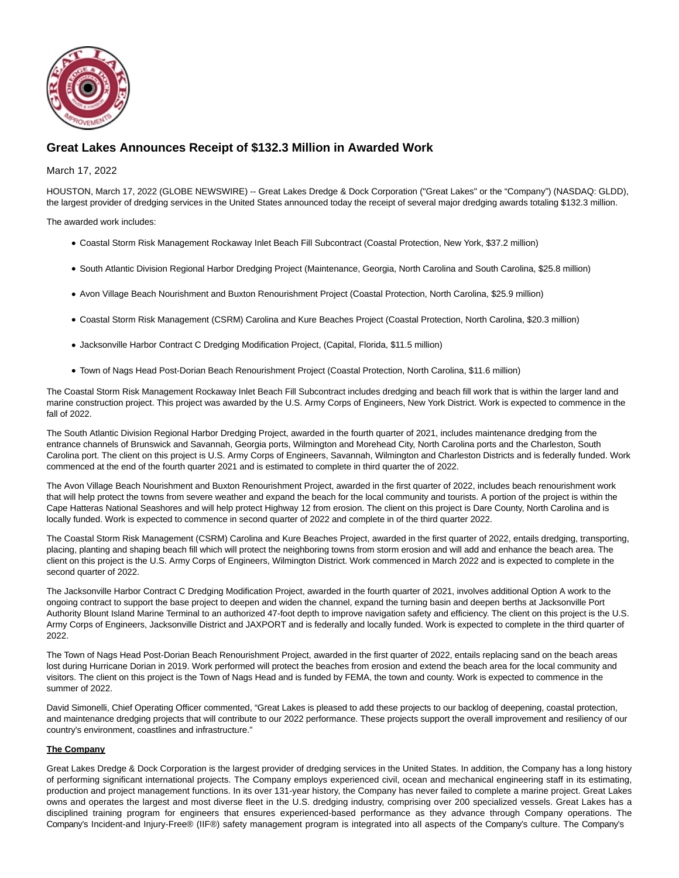

## **Great Lakes Announces Receipt of \$132.3 Million in Awarded Work**

## March 17, 2022

HOUSTON, March 17, 2022 (GLOBE NEWSWIRE) -- Great Lakes Dredge & Dock Corporation ("Great Lakes" or the "Company") (NASDAQ: GLDD), the largest provider of dredging services in the United States announced today the receipt of several major dredging awards totaling \$132.3 million.

The awarded work includes:

- Coastal Storm Risk Management Rockaway Inlet Beach Fill Subcontract (Coastal Protection, New York, \$37.2 million)
- South Atlantic Division Regional Harbor Dredging Project (Maintenance, Georgia, North Carolina and South Carolina, \$25.8 million)
- Avon Village Beach Nourishment and Buxton Renourishment Project (Coastal Protection, North Carolina, \$25.9 million)
- Coastal Storm Risk Management (CSRM) Carolina and Kure Beaches Project (Coastal Protection, North Carolina, \$20.3 million)
- Jacksonville Harbor Contract C Dredging Modification Project, (Capital, Florida, \$11.5 million)
- Town of Nags Head Post-Dorian Beach Renourishment Project (Coastal Protection, North Carolina, \$11.6 million)

The Coastal Storm Risk Management Rockaway Inlet Beach Fill Subcontract includes dredging and beach fill work that is within the larger land and marine construction project. This project was awarded by the U.S. Army Corps of Engineers, New York District. Work is expected to commence in the fall of 2022.

The South Atlantic Division Regional Harbor Dredging Project, awarded in the fourth quarter of 2021, includes maintenance dredging from the entrance channels of Brunswick and Savannah, Georgia ports, Wilmington and Morehead City, North Carolina ports and the Charleston, South Carolina port. The client on this project is U.S. Army Corps of Engineers, Savannah, Wilmington and Charleston Districts and is federally funded. Work commenced at the end of the fourth quarter 2021 and is estimated to complete in third quarter the of 2022.

The Avon Village Beach Nourishment and Buxton Renourishment Project, awarded in the first quarter of 2022, includes beach renourishment work that will help protect the towns from severe weather and expand the beach for the local community and tourists. A portion of the project is within the Cape Hatteras National Seashores and will help protect Highway 12 from erosion. The client on this project is Dare County, North Carolina and is locally funded. Work is expected to commence in second quarter of 2022 and complete in of the third quarter 2022.

The Coastal Storm Risk Management (CSRM) Carolina and Kure Beaches Project, awarded in the first quarter of 2022, entails dredging, transporting, placing, planting and shaping beach fill which will protect the neighboring towns from storm erosion and will add and enhance the beach area. The client on this project is the U.S. Army Corps of Engineers, Wilmington District. Work commenced in March 2022 and is expected to complete in the second quarter of 2022.

The Jacksonville Harbor Contract C Dredging Modification Project, awarded in the fourth quarter of 2021, involves additional Option A work to the ongoing contract to support the base project to deepen and widen the channel, expand the turning basin and deepen berths at Jacksonville Port Authority Blount Island Marine Terminal to an authorized 47-foot depth to improve navigation safety and efficiency. The client on this project is the U.S. Army Corps of Engineers, Jacksonville District and JAXPORT and is federally and locally funded. Work is expected to complete in the third quarter of 2022.

The Town of Nags Head Post-Dorian Beach Renourishment Project, awarded in the first quarter of 2022, entails replacing sand on the beach areas lost during Hurricane Dorian in 2019. Work performed will protect the beaches from erosion and extend the beach area for the local community and visitors. The client on this project is the Town of Nags Head and is funded by FEMA, the town and county. Work is expected to commence in the summer of 2022.

David Simonelli, Chief Operating Officer commented, "Great Lakes is pleased to add these projects to our backlog of deepening, coastal protection, and maintenance dredging projects that will contribute to our 2022 performance. These projects support the overall improvement and resiliency of our country's environment, coastlines and infrastructure."

## **The Company**

Great Lakes Dredge & Dock Corporation is the largest provider of dredging services in the United States. In addition, the Company has a long history of performing significant international projects. The Company employs experienced civil, ocean and mechanical engineering staff in its estimating, production and project management functions. In its over 131-year history, the Company has never failed to complete a marine project. Great Lakes owns and operates the largest and most diverse fleet in the U.S. dredging industry, comprising over 200 specialized vessels. Great Lakes has a disciplined training program for engineers that ensures experienced-based performance as they advance through Company operations. The Company's Incident-and Injury-Free® (IIF®) safety management program is integrated into all aspects of the Company's culture. The Company's